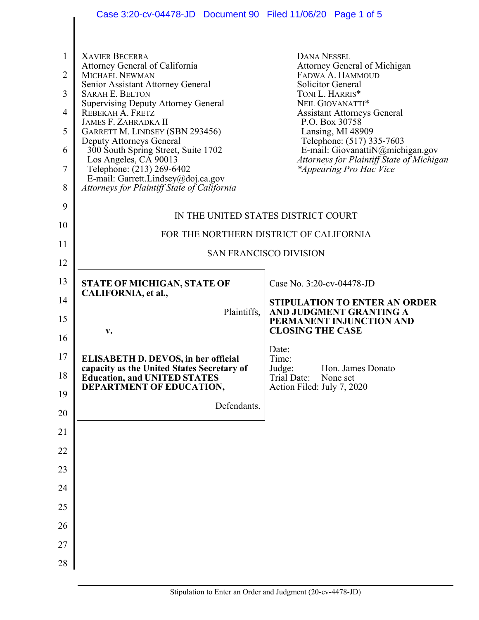|                                      | Case 3:20-cv-04478-JD  Document 90  Filed 11/06/20  Page 1 of 5                                                                                                                                                                                                                                                                                                                                                                                                                                   |                                                                                                                                                                                                                                                                                                                                                                        |  |
|--------------------------------------|---------------------------------------------------------------------------------------------------------------------------------------------------------------------------------------------------------------------------------------------------------------------------------------------------------------------------------------------------------------------------------------------------------------------------------------------------------------------------------------------------|------------------------------------------------------------------------------------------------------------------------------------------------------------------------------------------------------------------------------------------------------------------------------------------------------------------------------------------------------------------------|--|
| 1<br>2<br>3<br>4<br>5<br>6<br>7<br>8 | <b>XAVIER BECERRA</b><br>Attorney General of California<br><b>MICHAEL NEWMAN</b><br>Senior Assistant Attorney General<br><b>SARAH E. BELTON</b><br><b>Supervising Deputy Attorney General</b><br>REBEKAH A. FRETZ<br><b>JAMES F. ZAHRADKA II</b><br>GARRETT M. LINDSEY (SBN 293456)<br>Deputy Attorneys General<br>300 South Spring Street, Suite 1702<br>Los Angeles, CA 90013<br>Telephone: (213) 269-6402<br>E-mail: Garrett.Lindsey@doj.ca.gov<br>Attorneys for Plaintiff State of California | <b>DANA NESSEL</b><br>Attorney General of Michigan<br>FADWA A. HAMMOUD<br><b>Solicitor General</b><br>TONI L. HARRIS*<br>NEIL GIOVANATTI*<br><b>Assistant Attorneys General</b><br>P.O. Box 30758<br>Lansing, MI 48909<br>Telephone: (517) 335-7603<br>E-mail: GiovanattiN@michigan.gov<br>Attorneys for Plaintiff State of Michigan<br><i>*Appearing Pro Hac Vice</i> |  |
| 9                                    |                                                                                                                                                                                                                                                                                                                                                                                                                                                                                                   |                                                                                                                                                                                                                                                                                                                                                                        |  |
| 10                                   | IN THE UNITED STATES DISTRICT COURT                                                                                                                                                                                                                                                                                                                                                                                                                                                               |                                                                                                                                                                                                                                                                                                                                                                        |  |
| 11                                   | FOR THE NORTHERN DISTRICT OF CALIFORNIA                                                                                                                                                                                                                                                                                                                                                                                                                                                           |                                                                                                                                                                                                                                                                                                                                                                        |  |
| 12                                   | <b>SAN FRANCISCO DIVISION</b>                                                                                                                                                                                                                                                                                                                                                                                                                                                                     |                                                                                                                                                                                                                                                                                                                                                                        |  |
| 13                                   | <b>STATE OF MICHIGAN, STATE OF</b>                                                                                                                                                                                                                                                                                                                                                                                                                                                                | Case No. 3:20-cv-04478-JD                                                                                                                                                                                                                                                                                                                                              |  |
| 14                                   | CALIFORNIA, et al.,                                                                                                                                                                                                                                                                                                                                                                                                                                                                               | <b>STIPULATION TO ENTER AN ORDER</b>                                                                                                                                                                                                                                                                                                                                   |  |
| 15                                   | Plaintiffs,                                                                                                                                                                                                                                                                                                                                                                                                                                                                                       | AND JUDGMENT GRANTING A<br>PERMANENT INJUNCTION AND                                                                                                                                                                                                                                                                                                                    |  |
| 16                                   | v.                                                                                                                                                                                                                                                                                                                                                                                                                                                                                                | <b>CLOSING THE CASE</b>                                                                                                                                                                                                                                                                                                                                                |  |
| 17                                   | <b>ELISABETH D. DEVOS, in her official</b><br>capacity as the United States Secretary of                                                                                                                                                                                                                                                                                                                                                                                                          | Date:<br>Time:<br>Hon. James Donato<br>Judge:                                                                                                                                                                                                                                                                                                                          |  |
| 18                                   | <b>Education, and UNITED STATES</b><br>DEPARTMENT OF EDUCATION,                                                                                                                                                                                                                                                                                                                                                                                                                                   | None set<br>Trial Date:<br>Action Filed: July 7, 2020                                                                                                                                                                                                                                                                                                                  |  |
| 19                                   | Defendants.                                                                                                                                                                                                                                                                                                                                                                                                                                                                                       |                                                                                                                                                                                                                                                                                                                                                                        |  |
| 20                                   |                                                                                                                                                                                                                                                                                                                                                                                                                                                                                                   |                                                                                                                                                                                                                                                                                                                                                                        |  |
| 21                                   |                                                                                                                                                                                                                                                                                                                                                                                                                                                                                                   |                                                                                                                                                                                                                                                                                                                                                                        |  |
| 22                                   |                                                                                                                                                                                                                                                                                                                                                                                                                                                                                                   |                                                                                                                                                                                                                                                                                                                                                                        |  |
| 23                                   |                                                                                                                                                                                                                                                                                                                                                                                                                                                                                                   |                                                                                                                                                                                                                                                                                                                                                                        |  |
| 24                                   |                                                                                                                                                                                                                                                                                                                                                                                                                                                                                                   |                                                                                                                                                                                                                                                                                                                                                                        |  |
| 25                                   |                                                                                                                                                                                                                                                                                                                                                                                                                                                                                                   |                                                                                                                                                                                                                                                                                                                                                                        |  |
| 26                                   |                                                                                                                                                                                                                                                                                                                                                                                                                                                                                                   |                                                                                                                                                                                                                                                                                                                                                                        |  |
| 27                                   |                                                                                                                                                                                                                                                                                                                                                                                                                                                                                                   |                                                                                                                                                                                                                                                                                                                                                                        |  |
| 28                                   |                                                                                                                                                                                                                                                                                                                                                                                                                                                                                                   |                                                                                                                                                                                                                                                                                                                                                                        |  |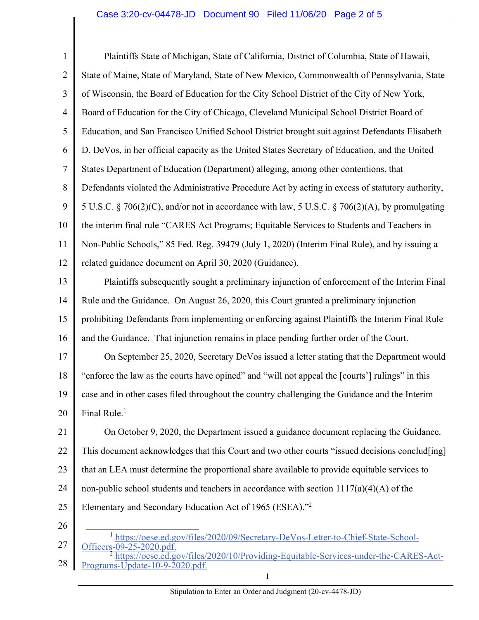## Case 3:20-cv-04478-JD Document 90 Filed 11/06/20 Page 2 of 5

1 2 3 4 5 6 7 8 9 10 11 12 13 14 15 16 17 18 Plaintiffs State of Michigan, State of California, District of Columbia, State of Hawaii, State of Maine, State of Maryland, State of New Mexico, Commonwealth of Pennsylvania, State of Wisconsin, the Board of Education for the City School District of the City of New York, Board of Education for the City of Chicago, Cleveland Municipal School District Board of Education, and San Francisco Unified School District brought suit against Defendants Elisabeth D. DeVos, in her official capacity as the United States Secretary of Education, and the United States Department of Education (Department) alleging, among other contentions, that Defendants violated the Administrative Procedure Act by acting in excess of statutory authority, 5 U.S.C. § 706(2)(C), and/or not in accordance with law, 5 U.S.C. § 706(2)(A), by promulgating the interim final rule "CARES Act Programs; Equitable Services to Students and Teachers in Non-Public Schools," 85 Fed. Reg. 39479 (July 1, 2020) (Interim Final Rule), and by issuing a related guidance document on April 30, 2020 (Guidance). Plaintiffs subsequently sought a preliminary injunction of enforcement of the Interim Final Rule and the Guidance. On August 26, 2020, this Court granted a preliminary injunction prohibiting Defendants from implementing or enforcing against Plaintiffs the Interim Final Rule and the Guidance. That injunction remains in place pending further order of the Court. On September 25, 2020, Secretary DeVos issued a letter stating that the Department would "enforce the law as the courts have opined" and "will not appeal the [courts'] rulings" in this

Final Rule.<sup>1</sup> 19 20 case and in other cases filed throughout the country challenging the Guidance and the Interim

21 22 23 24 25 On October 9, 2020, the Department issued a guidance document replacing the Guidance. This document acknowledges that this Court and two other courts "issued decisions conclud[ing] that an LEA must determine the proportional share available to provide equitable services to non-public school students and teachers in accordance with section  $1117(a)(4)(A)$  of the Elementary and Secondary Education Act of 1965 (ESEA)."2

26

27

l <sup>1</sup> [https://oese.ed.gov/files/2020/09/Secretary-DeVos-Letter-to-Chief-State-School](https://1https://oese.ed.gov/files/2020/09/Secretary-DeVos-Letter-to-Chief-State-School)-<br>Officers-09-25-2020.pdf.

<sup>28</sup>  [https://oese.ed.gov/files/2020/10/Providing-Equitable-Services-under-the-CARES-Act](https://2https://oese.ed.gov/files/2020/10/Providing-Equitable-Services-under-the-CARES-Act)-Programs-Update-10-9-2020.pdf.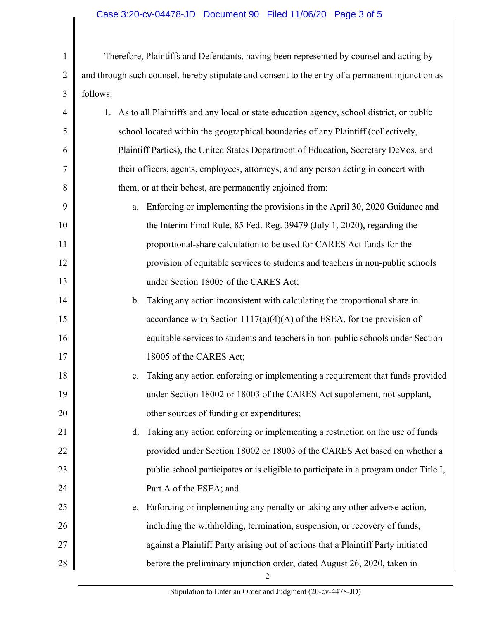## Case 3:20-cv-04478-JD Document 90 Filed 11/06/20 Page 3 of 5

 them, or at their behest, are permanently enjoined from: 1 2 3 4 5 6 7 8 9 10 11 12 13 14 15 16 17 18 19 Therefore, Plaintiffs and Defendants, having been represented by counsel and acting by and through such counsel, hereby stipulate and consent to the entry of a permanent injunction as follows: 1. As to all Plaintiffs and any local or state education agency, school district, or public school located within the geographical boundaries of any Plaintiff (collectively, Plaintiff Parties), the United States Department of Education, Secretary DeVos, and their officers, agents, employees, attorneys, and any person acting in concert with a. Enforcing or implementing the provisions in the April 30, 2020 Guidance and the Interim Final Rule, 85 Fed. Reg. 39479 (July 1, 2020), regarding the proportional-share calculation to be used for CARES Act funds for the provision of equitable services to students and teachers in non-public schools under Section 18005 of the CARES Act; b. Taking any action inconsistent with calculating the proportional share in accordance with Section  $1117(a)(4)(A)$  of the ESEA, for the provision of equitable services to students and teachers in non-public schools under Section 18005 of the CARES Act; c. Taking any action enforcing or implementing a requirement that funds provided under Section 18002 or 18003 of the CARES Act supplement, not supplant,

> d. Taking any action enforcing or implementing a restriction on the use of funds provided under Section 18002 or 18003 of the CARES Act based on whether a public school participates or is eligible to participate in a program under Title I, Part A of the ESEA; and

25 26 27 28 e. Enforcing or implementing any penalty or taking any other adverse action, including the withholding, termination, suspension, or recovery of funds, against a Plaintiff Party arising out of actions that a Plaintiff Party initiated before the preliminary injunction order, dated August 26, 2020, taken in

other sources of funding or expenditures;

20

21

22

23

24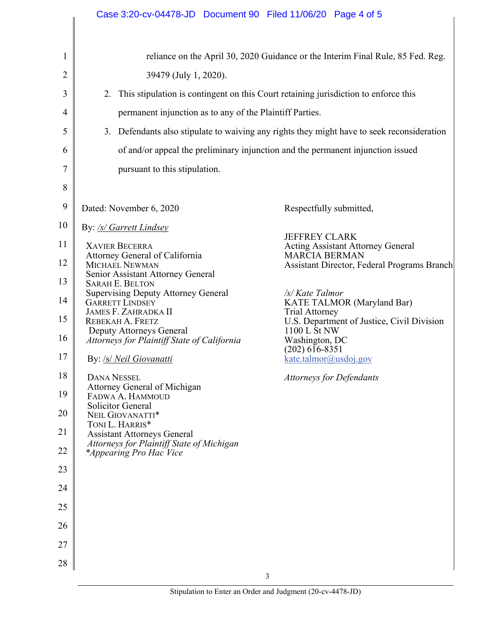|    | Case 3:20-cv-04478-JD  Document 90  Filed 11/06/20  Page 4 of 5                                                                                      |  |  |
|----|------------------------------------------------------------------------------------------------------------------------------------------------------|--|--|
|    |                                                                                                                                                      |  |  |
| 1  | reliance on the April 30, 2020 Guidance or the Interim Final Rule, 85 Fed. Reg.                                                                      |  |  |
| 2  | 39479 (July 1, 2020).                                                                                                                                |  |  |
| 3  | 2. This stipulation is contingent on this Court retaining jurisdiction to enforce this                                                               |  |  |
| 4  | permanent injunction as to any of the Plaintiff Parties.                                                                                             |  |  |
| 5  | 3. Defendants also stipulate to waiving any rights they might have to seek reconsideration                                                           |  |  |
| 6  | of and/or appeal the preliminary injunction and the permanent injunction issued                                                                      |  |  |
| 7  | pursuant to this stipulation.                                                                                                                        |  |  |
| 8  |                                                                                                                                                      |  |  |
| 9  | Dated: November 6, 2020<br>Respectfully submitted,                                                                                                   |  |  |
| 10 | By: /s/ Garrett Lindsey                                                                                                                              |  |  |
| 11 | <b>JEFFREY CLARK</b><br><b>XAVIER BECERRA</b><br><b>Acting Assistant Attorney General</b>                                                            |  |  |
| 12 | <b>MARCIA BERMAN</b><br>Attorney General of California<br><b>MICHAEL NEWMAN</b><br>Assistant Director, Federal Programs Branch                       |  |  |
| 13 | Senior Assistant Attorney General<br><b>SARAH E. BELTON</b>                                                                                          |  |  |
| 14 | <b>Supervising Deputy Attorney General</b><br>/s/ Kate Talmor<br><b>GARRETT LINDSEY</b><br>KATE TALMOR (Maryland Bar)<br><b>JAMES F. ZAHRADKA II</b> |  |  |
| 15 | <b>Trial Attorney</b><br>U.S. Department of Justice, Civil Division<br>REBEKAH A. FRETZ<br>Deputy Attorneys General<br>1100 L St NW                  |  |  |
| 16 | Attorneys for Plaintiff State of California<br>Washington, DC<br>$(202)$ 616-8351                                                                    |  |  |
| 17 | By: /s/ Neil Giovanatti<br>kate.talmor@usdoj.gov                                                                                                     |  |  |
| 18 | <b>DANA NESSEL</b><br><b>Attorneys for Defendants</b><br>Attorney General of Michigan                                                                |  |  |
| 19 | FADWA A. HAMMOUD<br><b>Solicitor General</b>                                                                                                         |  |  |
| 20 | NEIL GIOVANATTI*<br>TONI L. HARRIS*                                                                                                                  |  |  |
| 21 | <b>Assistant Attorneys General</b><br>Attorneys for Plaintiff State of Michigan                                                                      |  |  |
| 22 | <i>*Appearing Pro Hac Vice</i>                                                                                                                       |  |  |
| 23 |                                                                                                                                                      |  |  |
| 24 |                                                                                                                                                      |  |  |
| 25 |                                                                                                                                                      |  |  |
| 26 |                                                                                                                                                      |  |  |
| 27 |                                                                                                                                                      |  |  |
| 28 | 3                                                                                                                                                    |  |  |